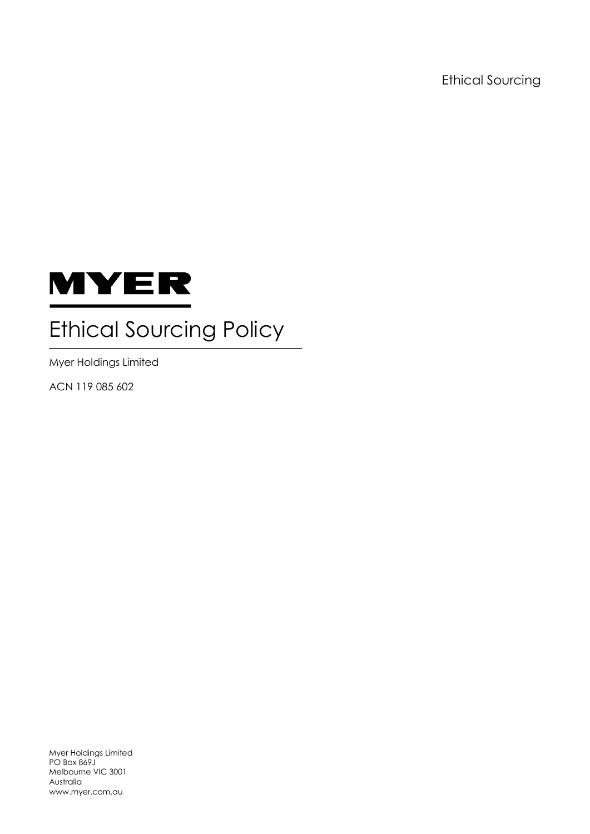Ethical Sourcing



# Ethical Sourcing Policy

Myer Holdings Limited

ACN 119 085 602

Myer Holdings Limited PO Box 869J Melbourne VIC 3001 Australia www.myer.com.au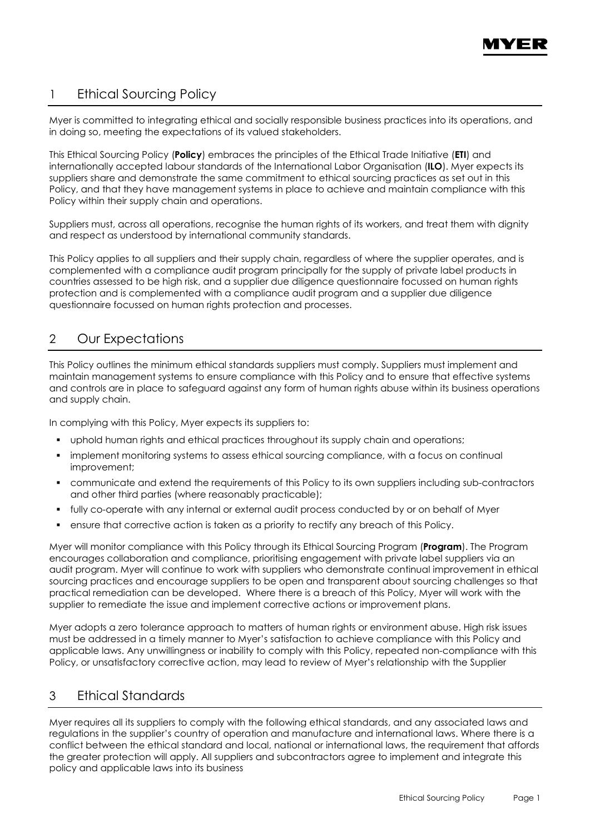

# 1 Ethical Sourcing Policy

Myer is committed to integrating ethical and socially responsible business practices into its operations, and in doing so, meeting the expectations of its valued stakeholders.

This Ethical Sourcing Policy (**Policy**) embraces the principles of the Ethical Trade Initiative (**ETI**) and internationally accepted labour standards of the International Labor Organisation (**ILO**). Myer expects its suppliers share and demonstrate the same commitment to ethical sourcing practices as set out in this Policy, and that they have management systems in place to achieve and maintain compliance with this Policy within their supply chain and operations.

Suppliers must, across all operations, recognise the human rights of its workers, and treat them with dignity and respect as understood by international community standards.

This Policy applies to all suppliers and their supply chain, regardless of where the supplier operates, and is complemented with a compliance audit program principally for the supply of private label products in countries assessed to be high risk, and a supplier due diligence questionnaire focussed on human rights protection and is complemented with a compliance audit program and a supplier due diligence questionnaire focussed on human rights protection and processes.

# 2 Our Expectations

This Policy outlines the minimum ethical standards suppliers must comply. Suppliers must implement and maintain management systems to ensure compliance with this Policy and to ensure that effective systems and controls are in place to safeguard against any form of human rights abuse within its business operations and supply chain.

In complying with this Policy, Myer expects its suppliers to:

- uphold human rights and ethical practices throughout its supply chain and operations;
- implement monitoring systems to assess ethical sourcing compliance, with a focus on continual improvement;
- communicate and extend the requirements of this Policy to its own suppliers including sub-contractors and other third parties (where reasonably practicable);
- fully co-operate with any internal or external audit process conducted by or on behalf of Myer
- ensure that corrective action is taken as a priority to rectify any breach of this Policy.

Myer will monitor compliance with this Policy through its Ethical Sourcing Program (**Program**). The Program encourages collaboration and compliance, prioritising engagement with private label suppliers via an audit program. Myer will continue to work with suppliers who demonstrate continual improvement in ethical sourcing practices and encourage suppliers to be open and transparent about sourcing challenges so that practical remediation can be developed. Where there is a breach of this Policy, Myer will work with the supplier to remediate the issue and implement corrective actions or improvement plans.

Myer adopts a zero tolerance approach to matters of human rights or environment abuse. High risk issues must be addressed in a timely manner to Myer's satisfaction to achieve compliance with this Policy and applicable laws. Any unwillingness or inability to comply with this Policy, repeated non-compliance with this Policy, or unsatisfactory corrective action, may lead to review of Myer's relationship with the Supplier

# 3 Ethical Standards

Myer requires all its suppliers to comply with the following ethical standards, and any associated laws and regulations in the supplier's country of operation and manufacture and international laws. Where there is a conflict between the ethical standard and local, national or international laws, the requirement that affords the greater protection will apply. All suppliers and subcontractors agree to implement and integrate this policy and applicable laws into its business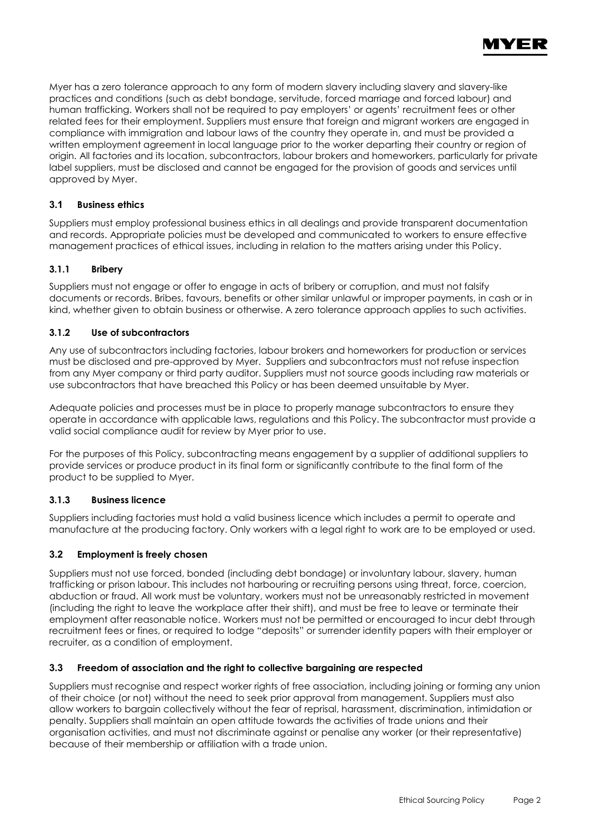

Myer has a zero tolerance approach to any form of modern slavery including slavery and slavery-like practices and conditions (such as debt bondage, servitude, forced marriage and forced labour) and human trafficking. Workers shall not be required to pay employers' or agents' recruitment fees or other related fees for their employment. Suppliers must ensure that foreign and migrant workers are engaged in compliance with immigration and labour laws of the country they operate in, and must be provided a written employment agreement in local language prior to the worker departing their country or region of origin. All factories and its location, subcontractors, labour brokers and homeworkers, particularly for private label suppliers, must be disclosed and cannot be engaged for the provision of goods and services until approved by Myer.

# **3.1 Business ethics**

Suppliers must employ professional business ethics in all dealings and provide transparent documentation and records. Appropriate policies must be developed and communicated to workers to ensure effective management practices of ethical issues, including in relation to the matters arising under this Policy.

## **3.1.1 Bribery**

Suppliers must not engage or offer to engage in acts of bribery or corruption, and must not falsify documents or records. Bribes, favours, benefits or other similar unlawful or improper payments, in cash or in kind, whether given to obtain business or otherwise. A zero tolerance approach applies to such activities.

## **3.1.2 Use of subcontractors**

Any use of subcontractors including factories, labour brokers and homeworkers for production or services must be disclosed and pre-approved by Myer. Suppliers and subcontractors must not refuse inspection from any Myer company or third party auditor. Suppliers must not source goods including raw materials or use subcontractors that have breached this Policy or has been deemed unsuitable by Myer.

Adequate policies and processes must be in place to properly manage subcontractors to ensure they operate in accordance with applicable laws, regulations and this Policy. The subcontractor must provide a valid social compliance audit for review by Myer prior to use.

For the purposes of this Policy, subcontracting means engagement by a supplier of additional suppliers to provide services or produce product in its final form or significantly contribute to the final form of the product to be supplied to Myer.

#### **3.1.3 Business licence**

Suppliers including factories must hold a valid business licence which includes a permit to operate and manufacture at the producing factory. Only workers with a legal right to work are to be employed or used.

# **3.2 Employment is freely chosen**

Suppliers must not use forced, bonded (including debt bondage) or involuntary labour, slavery, human trafficking or prison labour. This includes not harbouring or recruiting persons using threat, force, coercion, abduction or fraud. All work must be voluntary, workers must not be unreasonably restricted in movement (including the right to leave the workplace after their shift), and must be free to leave or terminate their employment after reasonable notice. Workers must not be permitted or encouraged to incur debt through recruitment fees or fines, or required to lodge "deposits" or surrender identity papers with their employer or recruiter, as a condition of employment.

#### **3.3 Freedom of association and the right to collective bargaining are respected**

Suppliers must recognise and respect worker rights of free association, including joining or forming any union of their choice (or not) without the need to seek prior approval from management. Suppliers must also allow workers to bargain collectively without the fear of reprisal, harassment, discrimination, intimidation or penalty. Suppliers shall maintain an open attitude towards the activities of trade unions and their organisation activities, and must not discriminate against or penalise any worker (or their representative) because of their membership or affiliation with a trade union.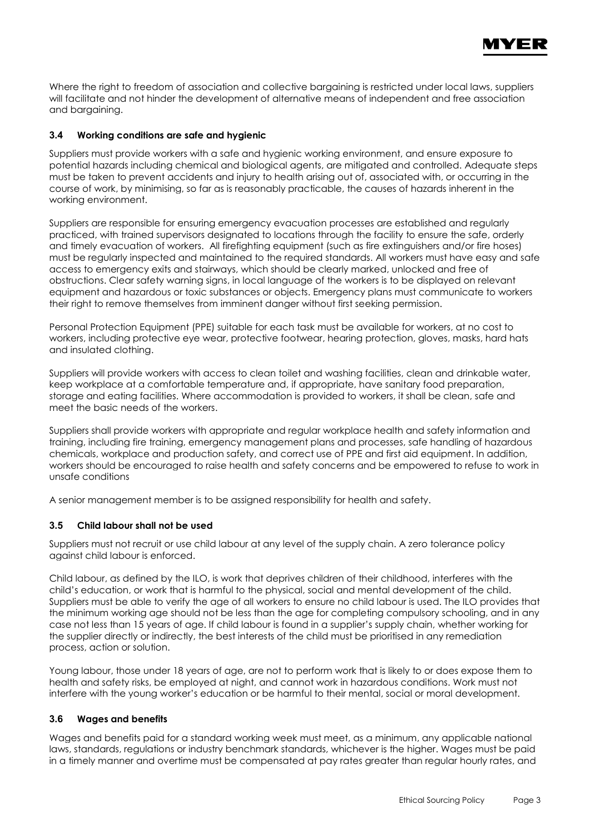

Where the right to freedom of association and collective bargaining is restricted under local laws, suppliers will facilitate and not hinder the development of alternative means of independent and free association and bargaining.

# **3.4 Working conditions are safe and hygienic**

Suppliers must provide workers with a safe and hygienic working environment, and ensure exposure to potential hazards including chemical and biological agents, are mitigated and controlled. Adequate steps must be taken to prevent accidents and injury to health arising out of, associated with, or occurring in the course of work, by minimising, so far as is reasonably practicable, the causes of hazards inherent in the working environment.

Suppliers are responsible for ensuring emergency evacuation processes are established and regularly practiced, with trained supervisors designated to locations through the facility to ensure the safe, orderly and timely evacuation of workers. All firefighting equipment (such as fire extinguishers and/or fire hoses) must be regularly inspected and maintained to the required standards. All workers must have easy and safe access to emergency exits and stairways, which should be clearly marked, unlocked and free of obstructions. Clear safety warning signs, in local language of the workers is to be displayed on relevant equipment and hazardous or toxic substances or objects. Emergency plans must communicate to workers their right to remove themselves from imminent danger without first seeking permission.

Personal Protection Equipment (PPE) suitable for each task must be available for workers, at no cost to workers, including protective eye wear, protective footwear, hearing protection, gloves, masks, hard hats and insulated clothing.

Suppliers will provide workers with access to clean toilet and washing facilities, clean and drinkable water, keep workplace at a comfortable temperature and, if appropriate, have sanitary food preparation, storage and eating facilities. Where accommodation is provided to workers, it shall be clean, safe and meet the basic needs of the workers.

Suppliers shall provide workers with appropriate and regular workplace health and safety information and training, including fire training, emergency management plans and processes, safe handling of hazardous chemicals, workplace and production safety, and correct use of PPE and first aid equipment. In addition, workers should be encouraged to raise health and safety concerns and be empowered to refuse to work in unsafe conditions

A senior management member is to be assigned responsibility for health and safety.

# **3.5 Child labour shall not be used**

Suppliers must not recruit or use child labour at any level of the supply chain. A zero tolerance policy against child labour is enforced.

Child labour, as defined by the ILO, is work that deprives children of their childhood, interferes with the child's education, or work that is harmful to the physical, social and mental development of the child. Suppliers must be able to verify the age of all workers to ensure no child labour is used. The ILO provides that the minimum working age should not be less than the age for completing compulsory schooling, and in any case not less than 15 years of age. If child labour is found in a supplier's supply chain, whether working for the supplier directly or indirectly, the best interests of the child must be prioritised in any remediation process, action or solution.

Young labour, those under 18 years of age, are not to perform work that is likely to or does expose them to health and safety risks, be employed at night, and cannot work in hazardous conditions. Work must not interfere with the young worker's education or be harmful to their mental, social or moral development.

# **3.6 Wages and benefits**

Wages and benefits paid for a standard working week must meet, as a minimum, any applicable national laws, standards, regulations or industry benchmark standards, whichever is the higher. Wages must be paid in a timely manner and overtime must be compensated at pay rates greater than regular hourly rates, and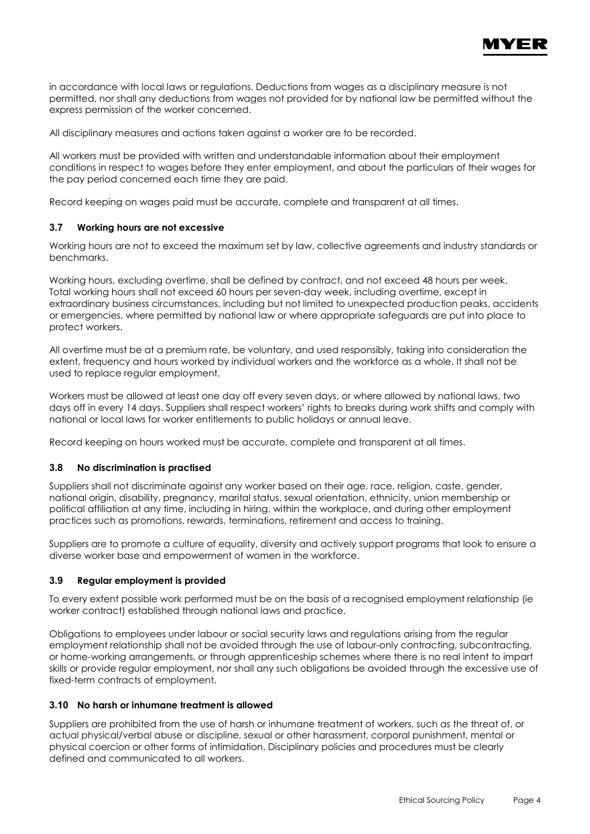

in accordance with local laws or regulations. Deductions from wages as a disciplinary measure is not permitted, nor shall any deductions from wages not provided for by national law be permitted without the express permission of the worker concerned.

All disciplinary measures and actions taken against a worker are to be recorded.

All workers must be provided with written and understandable information about their employment conditions in respect to wages before they enter employment, and about the particulars of their wages for the pay period concerned each time they are paid.

Record keeping on wages paid must be accurate, complete and transparent at all times.

## **3.7 Working hours are not excessive**

Working hours are not to exceed the maximum set by law, collective agreements and industry standards or benchmarks.

Working hours, excluding overtime, shall be defined by contract, and not exceed 48 hours per week. Total working hours shall not exceed 60 hours per seven-day week, including overtime, except in extraordinary business circumstances, including but not limited to unexpected production peaks, accidents or emergencies, where permitted by national law or where appropriate safeguards are put into place to protect workers.

All overtime must be at a premium rate, be voluntary, and used responsibly, taking into consideration the extent, frequency and hours worked by individual workers and the workforce as a whole. It shall not be used to replace regular employment.

Workers must be allowed at least one day off every seven days, or where allowed by national laws, two days off in every 14 days. Suppliers shall respect workers' rights to breaks during work shifts and comply with national or local laws for worker entitlements to public holidays or annual leave.

Record keeping on hours worked must be accurate, complete and transparent at all times.

#### **3.8 No discrimination is practised**

Suppliers shall not discriminate against any worker based on their age, race, religion, caste, gender, national origin, disability, pregnancy, marital status, sexual orientation, ethnicity, union membership or political affiliation at any time, including in hiring, within the workplace, and during other employment practices such as promotions, rewards, terminations, retirement and access to training.

Suppliers are to promote a culture of equality, diversity and actively support programs that look to ensure a diverse worker base and empowerment of women in the workforce.

#### **3.9 Regular employment is provided**

To every extent possible work performed must be on the basis of a recognised employment relationship (ie worker contract) established through national laws and practice.

Obligations to employees under labour or social security laws and regulations arising from the regular employment relationship shall not be avoided through the use of labour-only contracting, subcontracting, or home-working arrangements, or through apprenticeship schemes where there is no real intent to impart skills or provide regular employment, nor shall any such obligations be avoided through the excessive use of fixed-term contracts of employment.

#### **3.10 No harsh or inhumane treatment is allowed**

Suppliers are prohibited from the use of harsh or inhumane treatment of workers, such as the threat of, or actual physical/verbal abuse or discipline, sexual or other harassment, corporal punishment, mental or physical coercion or other forms of intimidation. Disciplinary policies and procedures must be clearly defined and communicated to all workers.